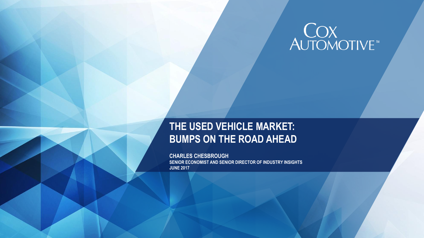# **COX<br>AUTOMOTIVE**

# **THE USED VEHICLE MARKET: BUMPS ON THE ROAD AHEAD**

**CHARLES CHESBROUGH SENIOR ECONOMIST AND SENIOR DIRECTOR OF INDUSTRY INSIGHTS JUNE 2017**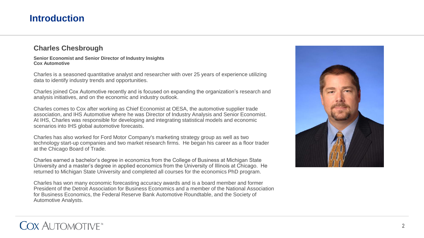### **Introduction**

### **Charles Chesbrough**

**Senior Economist and Senior Director of Industry Insights Cox Automotive**

Charles is a seasoned quantitative analyst and researcher with over 25 years of experience utilizing data to identify industry trends and opportunities.

Charles joined Cox Automotive recently and is focused on expanding the organization's research and analysis initiatives, and on the economic and industry outlook.

Charles comes to Cox after working as Chief Economist at OESA, the automotive supplier trade association, and IHS Automotive where he was Director of Industry Analysis and Senior Economist. At IHS, Charles was responsible for developing and integrating statistical models and economic scenarios into IHS global automotive forecasts.

Charles has also worked for Ford Motor Company's marketing strategy group as well as two technology start-up companies and two market research firms. He began his career as a floor trader at the Chicago Board of Trade.

Charles earned a bachelor's degree in economics from the College of Business at Michigan State University and a master's degree in applied economics from the University of Illinois at Chicago. He returned to Michigan State University and completed all courses for the economics PhD program.

Charles has won many economic forecasting accuracy awards and is a board member and former President of the Detroit Association for Business Economics and a member of the National Association for Business Economics, the Federal Reserve Bank Automotive Roundtable, and the Society of Automotive Analysts.



# COX ALITOMOTIVE<sup>®</sup>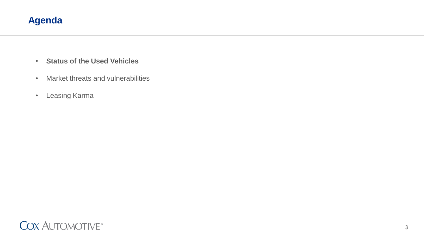## **Agenda**

- **Status of the Used Vehicles**
- Market threats and vulnerabilities
- Leasing Karma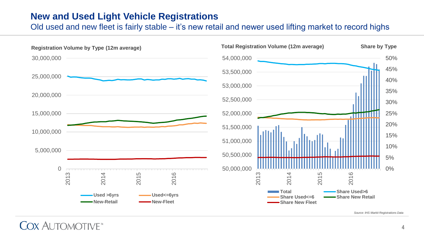### **New and Used Light Vehicle Registrations**

Old used and new fleet is fairly stable – it's new retail and newer used lifting market to record highs

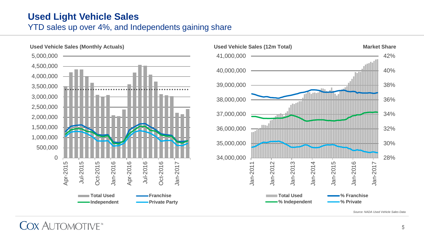# **Used Light Vehicle Sales**

YTD sales up over 4%, and Independents gaining share





*Source: NADA Used Vehicle Sales Data*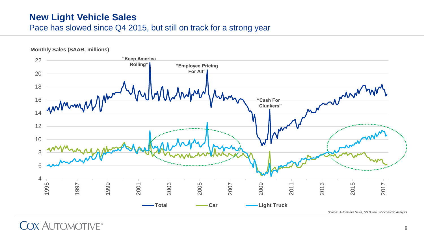### **New Light Vehicle Sales**

### Pace has slowed since Q4 2015, but still on track for a strong year

**Monthly Sales (SAAR, millions)**

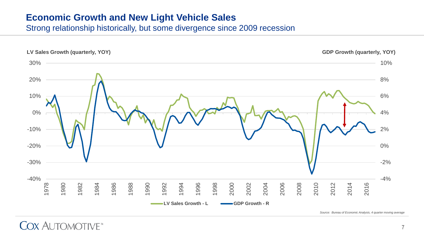### **Economic Growth and New Light Vehicle Sales**

Strong relationship historically, but some divergence since 2009 recession

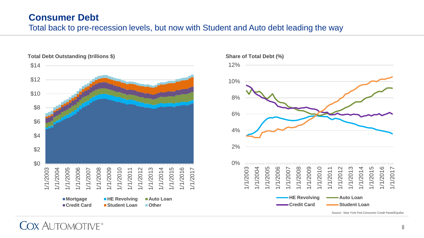### **Consumer Debt** Total back to pre-recession levels, but now with Student and Auto debt leading the way



**COX AUTOMOTIVE** 



**8**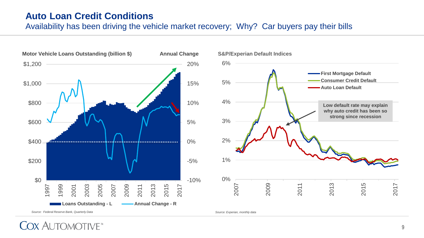### **Auto Loan Credit Conditions**

Availability has been driving the vehicle market recovery; Why? Car buyers pay their bills



**COX ALITOMOTIVE**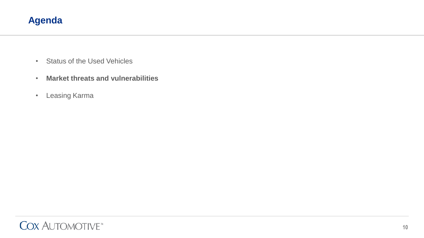## **Agenda**

- Status of the Used Vehicles
- **Market threats and vulnerabilities**
- Leasing Karma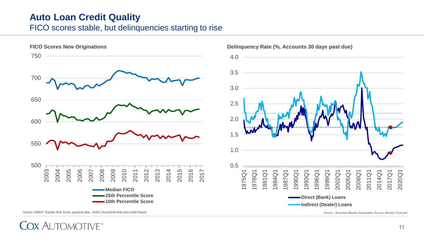### **Auto Loan Credit Quality** FICO scores stable, but delinquencies starting to rise



**Delinquency Rate (%, Accounts 30 days past due)**



*Source: FRBNY Equifax Risk Score, quarterly data, HHDC (household debt and credit) Report*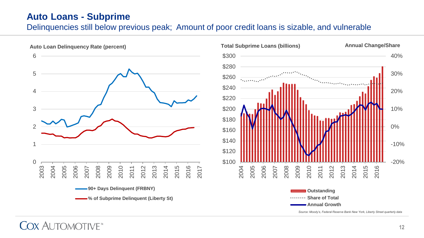### **Auto Loans - Subprime**

### Delinquencies still below previous peak; Amount of poor credit loans is sizable, and vulnerable





*Source: Moody's, Federal Reserve Bank New York, Liberty Street quarterly data*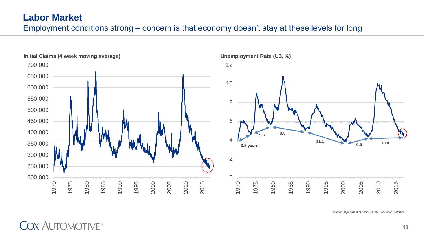### **Labor Market** Employment conditions strong – concern is that economy doesn't stay at these levels for long



*Source: Department of Labor, Bureau of Labor Statistics*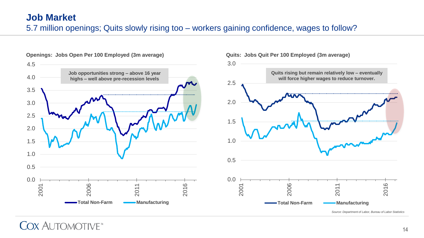

**Openings: Jobs Open Per 100 Employed (3m average) Quits: Jobs Quit Per 100 Employed (3m average)**



*Source: Department of Labor, Bureau of Labor Statistics*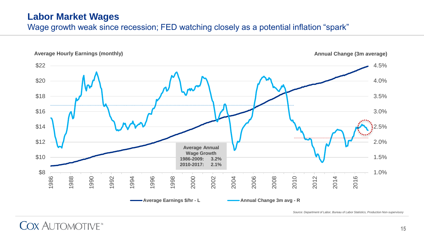### **Labor Market Wages**

Wage growth weak since recession; FED watching closely as a potential inflation "spark"



*Source: Department of Labor, Bureau of Labor Statistics, Production Non-supervisory*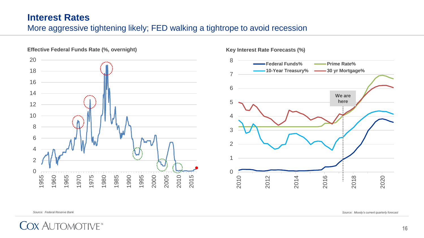### **Interest Rates** More aggressive tightening likely; FED walking a tightrope to avoid recession



**Effective Federal Funds Rate (%, overnight)**

*Source: Federal Reserve Bank*

*Source: Moody's current quarterly forecast*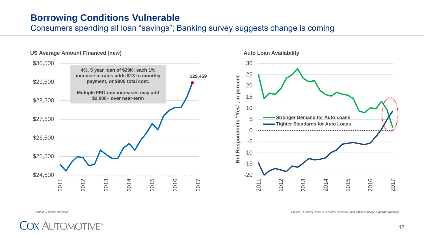### **Borrowing Conditions Vulnerable**

Consumers spending all loan "savings"; Banking survey suggests change is coming



*Source: Federal Reserve*

*Source: Federal Reserve, Federal Reserve Loan Officer Survey, 4 quarter average*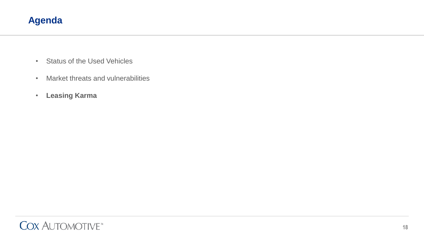## **Agenda**

- Status of the Used Vehicles
- Market threats and vulnerabilities
- **Leasing Karma**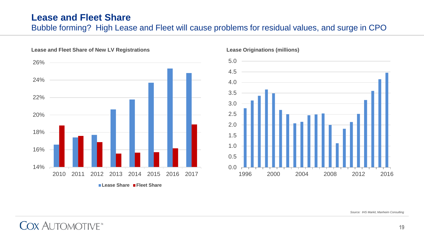### **Lease and Fleet Share**

Bubble forming? High Lease and Fleet will cause problems for residual values, and surge in CPO



#### **Lease and Fleet Share of New LV Registrations**

#### **Lease Originations (millions)**



*Source: IHS Markit, Manheim Consulting*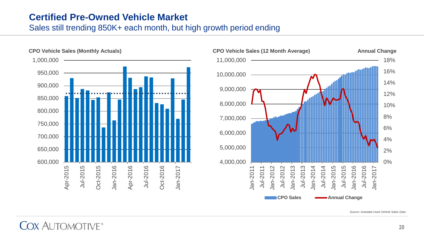### **Certified Pre-Owned Vehicle Market**

Sales still trending 850K+ each month, but high growth period ending





11,000,000

*Source: Autodata Used Vehicle Sales Data*

18%

**Annual Change**

**CPO Vehicle Sales (Monthly Actuals) CPO Vehicle Sales (12 Month Average)**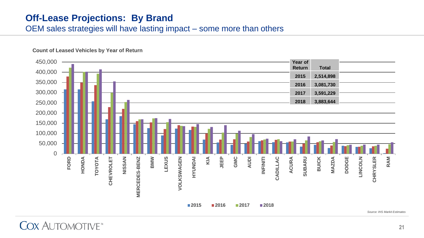### **Off-Lease Projections: By Brand**

OEM sales strategies will have lasting impact – some more than others



**Count of Leased Vehicles by Year of Return**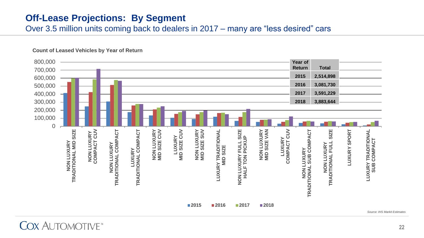### **Off-Lease Projections: By Segment**

Over 3.5 million units coming back to dealers in 2017 – many are "less desired" cars



**Count of Leased Vehicles by Year of Return**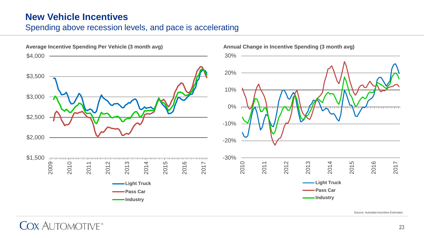### **New Vehicle Incentives**

### Spending above recession levels, and pace is accelerating



*Source: Autodata Incentive Estimates*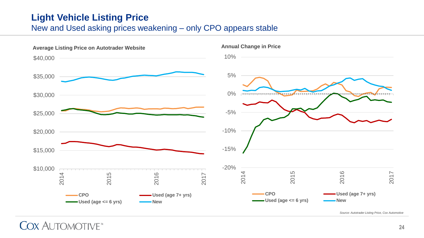### **Light Vehicle Listing Price** New and Used asking prices weakening – only CPO appears stable

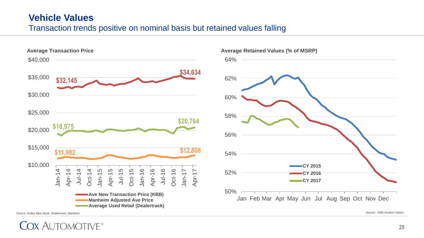### **Vehicle Values**

### Transaction trends positive on nominal basis but retained values falling





**Average Retained Values (% of MSRP)**

*Source: Kelley Blue Book, Dealertrack, Manheim*

COX AUTOMOTIVE<sup>®</sup>

*Source: KBB Auction Values*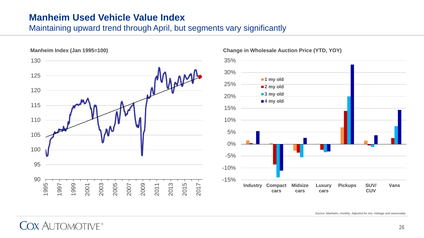### **Manheim Used Vehicle Value Index**

Maintaining upward trend through April, but segments vary significantly



#### **Change in Wholesale Auction Price (YTD, YOY)**



*Source: Manheim, monthly, Adjusted for mix, mileage and seasonality*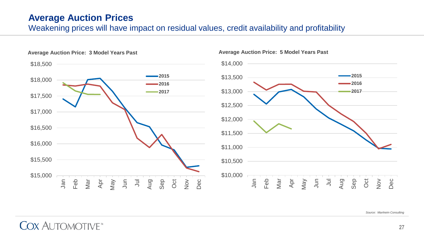### **Average Auction Prices**

Weakening prices will have impact on residual values, credit availability and profitability



#### **Average Auction Price: 5 Model Years Past**



*Source: Manheim Consulting*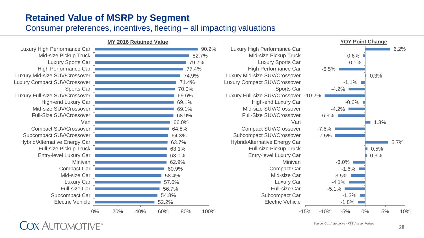### **Retained Value of MSRP by Segment**

### Consumer preferences, incentives, fleeting – all impacting valuations

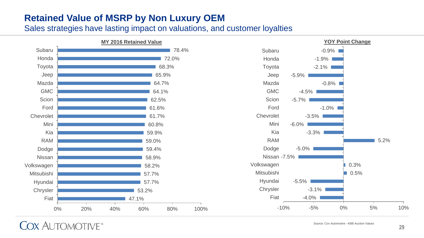### **Retained Value of MSRP by Non Luxury OEM**

Sales strategies have lasting impact on valuations, and customer loyalties



**COX AUTOMOTIVE** 

*Source: Cox Automotive - KBB Auction Values*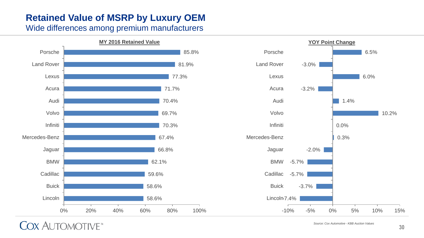## **Retained Value of MSRP by Luxury OEM**

Wide differences among premium manufacturers



COX AUTOMOTIVE<sup>®</sup>

*Source: Cox Automotive - KBB Auction Values*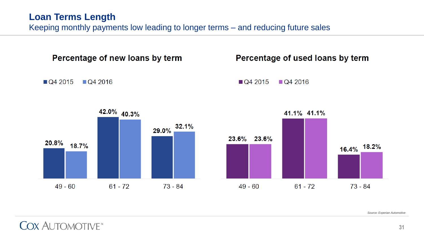### **Loan Terms Length** Keeping monthly payments low leading to longer terms – and reducing future sales



*Source: Experian Automotive*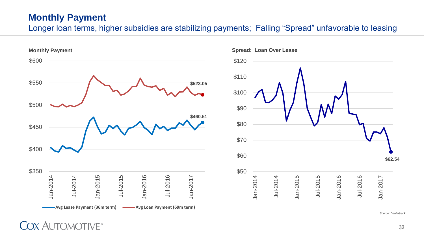### **Monthly Payment** Longer loan terms, higher subsidies are stabilizing payments; Falling "Spread" unfavorable to leasing



*Source: Dealertrack*

Jan-2017

Jul-2016

**\$62.54**